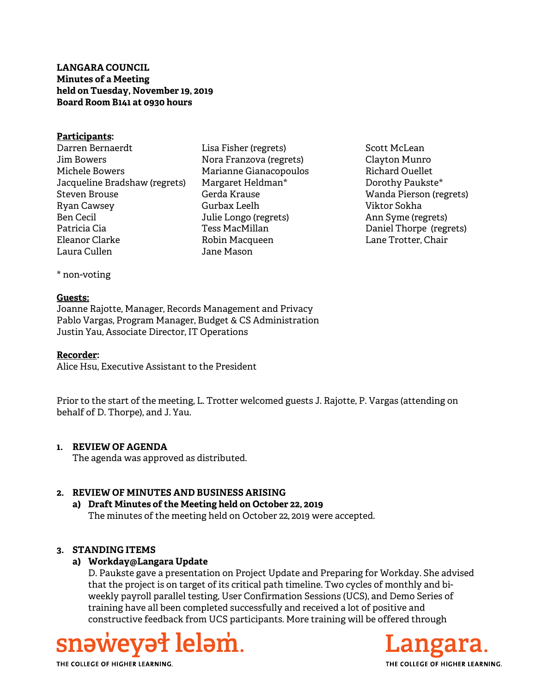**LANGARA COUNCIL Minutes of a Meeting held on Tuesday, November 19, 2019 Board Room B141 at 0930 hours** 

#### **Participants:**

- Darren Bernaerdt Jim Bowers Michele Bowers Jacqueline Bradshaw (regrets) Steven Brouse Ryan Cawsey Ben Cecil Patricia Cia Eleanor Clarke Laura Cullen
- Lisa Fisher (regrets) Nora Franzova (regrets) Marianne Gianacopoulos Margaret Heldman\* Gerda Krause Gurbax Leelh Julie Longo (regrets) Tess MacMillan Robin Macqueen Jane Mason
- Scott McLean Clayton Munro Richard Ouellet Dorothy Paukste\* Wanda Pierson (regrets) Viktor Sokha Ann Syme (regrets) Daniel Thorpe (regrets) Lane Trotter, Chair

\* non-voting

#### **Guests:**

Joanne Rajotte, Manager, Records Management and Privacy Pablo Vargas, Program Manager, Budget & CS Administration Justin Yau, Associate Director, IT Operations

#### **Recorder:**

Alice Hsu, Executive Assistant to the President

Prior to the start of the meeting, L. Trotter welcomed guests J. Rajotte, P. Vargas (attending on behalf of D. Thorpe), and J. Yau.

### **1. REVIEW OF AGENDA**

The agenda was approved as distributed.

### **2. REVIEW OF MINUTES AND BUSINESS ARISING**

**a) Draft Minutes of the Meeting held on October 22, 2019**  The minutes of the meeting held on October 22, 2019 were accepted.

### **3. STANDING ITEMS**

### **a) Workday@Langara Update**

D. Paukste gave a presentation on Project Update and Preparing for Workday. She advised that the project is on target of its critical path timeline. Two cycles of monthly and biweekly payroll parallel testing, User Confirmation Sessions (UCS), and Demo Series of training have all been completed successfully and received a lot of positive and constructive feedback from UCS participants. More training will be offered through





THE COLLEGE OF HIGHER LEARNING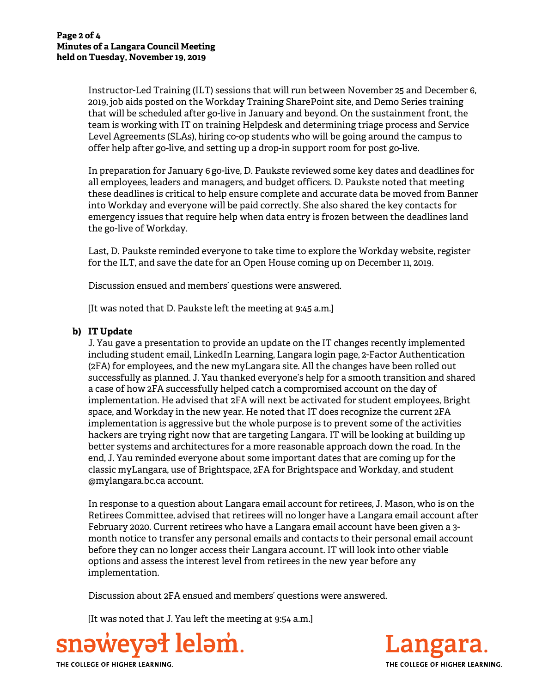Instructor-Led Training (ILT) sessions that will run between November 25 and December 6, 2019, job aids posted on the Workday Training SharePoint site, and Demo Series training that will be scheduled after go-live in January and beyond. On the sustainment front, the team is working with IT on training Helpdesk and determining triage process and Service Level Agreements (SLAs), hiring co-op students who will be going around the campus to offer help after go-live, and setting up a drop-in support room for post go-live.

In preparation for January 6 go-live, D. Paukste reviewed some key dates and deadlines for all employees, leaders and managers, and budget officers. D. Paukste noted that meeting these deadlines is critical to help ensure complete and accurate data be moved from Banner into Workday and everyone will be paid correctly. She also shared the key contacts for emergency issues that require help when data entry is frozen between the deadlines land the go-live of Workday.

Last, D. Paukste reminded everyone to take time to explore the Workday website, register for the ILT, and save the date for an Open House coming up on December 11, 2019.

Discussion ensued and members' questions were answered.

[It was noted that D. Paukste left the meeting at 9:45 a.m.]

# **b) IT Update**

J. Yau gave a presentation to provide an update on the IT changes recently implemented including student email, LinkedIn Learning, Langara login page, 2-Factor Authentication (2FA) for employees, and the new myLangara site. All the changes have been rolled out successfully as planned. J. Yau thanked everyone's help for a smooth transition and shared a case of how 2FA successfully helped catch a compromised account on the day of implementation. He advised that 2FA will next be activated for student employees, Bright space, and Workday in the new year. He noted that IT does recognize the current 2FA implementation is aggressive but the whole purpose is to prevent some of the activities hackers are trying right now that are targeting Langara. IT will be looking at building up better systems and architectures for a more reasonable approach down the road. In the end, J. Yau reminded everyone about some important dates that are coming up for the classic myLangara, use of Brightspace, 2FA for Brightspace and Workday, and student @mylangara.bc.ca account.

In response to a question about Langara email account for retirees, J. Mason, who is on the Retirees Committee, advised that retirees will no longer have a Langara email account after February 2020. Current retirees who have a Langara email account have been given a 3 month notice to transfer any personal emails and contacts to their personal email account before they can no longer access their Langara account. IT will look into other viable options and assess the interest level from retirees in the new year before any implementation.

Discussion about 2FA ensued and members' questions were answered.

[It was noted that J. Yau left the meeting at 9:54 a.m.]





THE COLLEGE OF HIGHER LEARNING.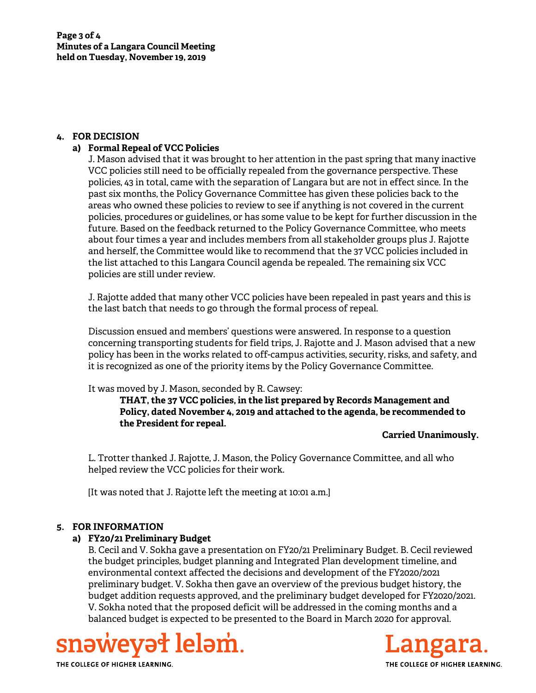## **4. FOR DECISION**

# **a) Formal Repeal of VCC Policies**

J. Mason advised that it was brought to her attention in the past spring that many inactive VCC policies still need to be officially repealed from the governance perspective. These policies, 43 in total, came with the separation of Langara but are not in effect since. In the past six months, the Policy Governance Committee has given these policies back to the areas who owned these policies to review to see if anything is not covered in the current policies, procedures or guidelines, or has some value to be kept for further discussion in the future. Based on the feedback returned to the Policy Governance Committee, who meets about four times a year and includes members from all stakeholder groups plus J. Rajotte and herself, the Committee would like to recommend that the 37 VCC policies included in the list attached to this Langara Council agenda be repealed. The remaining six VCC policies are still under review.

J. Rajotte added that many other VCC policies have been repealed in past years and this is the last batch that needs to go through the formal process of repeal.

Discussion ensued and members' questions were answered. In response to a question concerning transporting students for field trips, J. Rajotte and J. Mason advised that a new policy has been in the works related to off-campus activities, security, risks, and safety, and it is recognized as one of the priority items by the Policy Governance Committee.

It was moved by J. Mason, seconded by R. Cawsey:

**THAT, the 37 VCC policies, in the list prepared by Records Management and Policy, dated November 4, 2019 and attached to the agenda, be recommended to the President for repeal.** 

### **Carried Unanimously.**

L. Trotter thanked J. Rajotte, J. Mason, the Policy Governance Committee, and all who helped review the VCC policies for their work.

[It was noted that J. Rajotte left the meeting at 10:01 a.m.]

### **5. FOR INFORMATION**

# **a) FY20/21 Preliminary Budget**

B. Cecil and V. Sokha gave a presentation on FY20/21 Preliminary Budget. B. Cecil reviewed the budget principles, budget planning and Integrated Plan development timeline, and environmental context affected the decisions and development of the FY2020/2021 preliminary budget. V. Sokha then gave an overview of the previous budget history, the budget addition requests approved, and the preliminary budget developed for FY2020/2021. V. Sokha noted that the proposed deficit will be addressed in the coming months and a balanced budget is expected to be presented to the Board in March 2020 for approval.





THE COLLEGE OF HIGHER LEARNING.